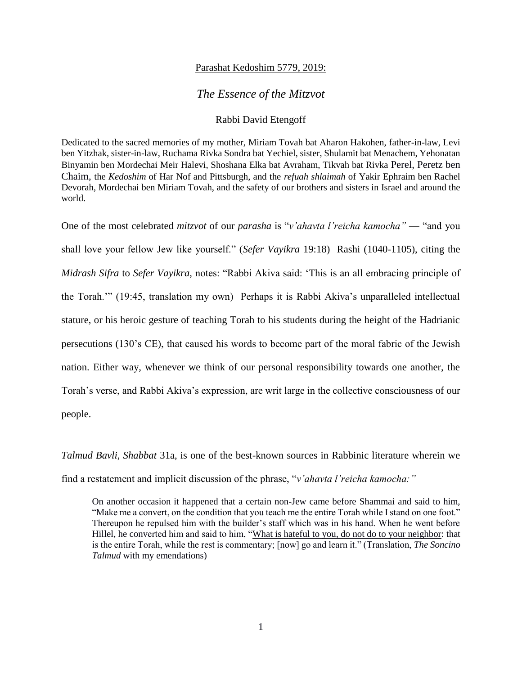## Parashat Kedoshim 5779, 2019:

## *The Essence of the Mitzvot*

## Rabbi David Etengoff

Dedicated to the sacred memories of my mother, Miriam Tovah bat Aharon Hakohen, father-in-law, Levi ben Yitzhak, sister-in-law, Ruchama Rivka Sondra bat Yechiel, sister, Shulamit bat Menachem, Yehonatan Binyamin ben Mordechai Meir Halevi, Shoshana Elka bat Avraham, Tikvah bat Rivka Perel, Peretz ben Chaim, the *Kedoshim* of Har Nof and Pittsburgh, and the *refuah shlaimah* of Yakir Ephraim ben Rachel Devorah, Mordechai ben Miriam Tovah, and the safety of our brothers and sisters in Israel and around the world.

One of the most celebrated *mitzvot* of our *parasha* is "*v'ahavta l'reicha kamocha"* — "and you shall love your fellow Jew like yourself." (*Sefer Vayikra* 19:18) Rashi (1040-1105), citing the *Midrash Sifra* to *Sefer Vayikra*, notes: "Rabbi Akiva said: 'This is an all embracing principle of the Torah.'" (19:45, translation my own) Perhaps it is Rabbi Akiva's unparalleled intellectual stature, or his heroic gesture of teaching Torah to his students during the height of the Hadrianic persecutions (130's CE), that caused his words to become part of the moral fabric of the Jewish nation. Either way, whenever we think of our personal responsibility towards one another, the Torah's verse, and Rabbi Akiva's expression, are writ large in the collective consciousness of our people.

*Talmud Bavli*, *Shabbat* 31a, is one of the best-known sources in Rabbinic literature wherein we find a restatement and implicit discussion of the phrase, "*v'ahavta l'reicha kamocha:"* 

On another occasion it happened that a certain non-Jew came before Shammai and said to him, "Make me a convert, on the condition that you teach me the entire Torah while I stand on one foot." Thereupon he repulsed him with the builder's staff which was in his hand. When he went before Hillel, he converted him and said to him, "What is hateful to you, do not do to your neighbor: that is the entire Torah, while the rest is commentary; [now] go and learn it." (Translation, *The Soncino Talmud* with my emendations)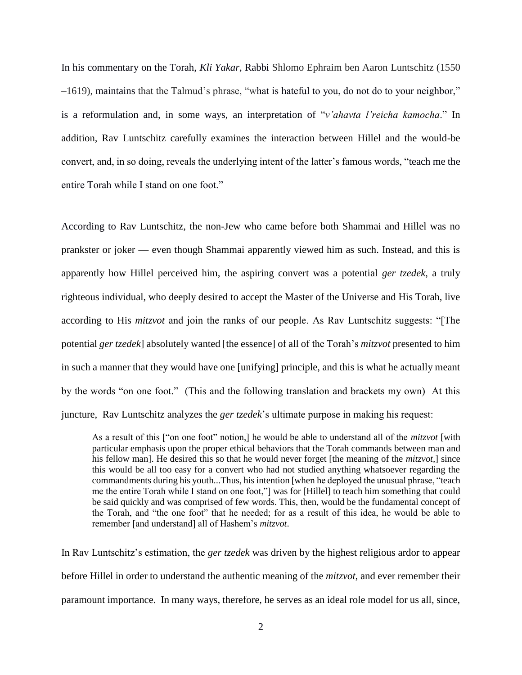In his commentary on the Torah, *Kli Yakar*, Rabbi Shlomo Ephraim ben Aaron Luntschitz (1550 –1619), maintains that the Talmud's phrase, "what is hateful to you, do not do to your neighbor," is a reformulation and, in some ways, an interpretation of "*v'ahavta l'reicha kamocha*." In addition, Rav Luntschitz carefully examines the interaction between Hillel and the would-be convert, and, in so doing, reveals the underlying intent of the latter's famous words, "teach me the entire Torah while I stand on one foot."

According to Rav Luntschitz, the non-Jew who came before both Shammai and Hillel was no prankster or joker — even though Shammai apparently viewed him as such. Instead, and this is apparently how Hillel perceived him, the aspiring convert was a potential *ger tzedek*, a truly righteous individual, who deeply desired to accept the Master of the Universe and His Torah, live according to His *mitzvot* and join the ranks of our people. As Rav Luntschitz suggests: "[The potential *ger tzedek*] absolutely wanted [the essence] of all of the Torah's *mitzvot* presented to him in such a manner that they would have one [unifying] principle, and this is what he actually meant by the words "on one foot." (This and the following translation and brackets my own) At this juncture, Rav Luntschitz analyzes the *ger tzedek*'s ultimate purpose in making his request:

As a result of this ["on one foot" notion,] he would be able to understand all of the *mitzvot* [with particular emphasis upon the proper ethical behaviors that the Torah commands between man and his fellow man]. He desired this so that he would never forget [the meaning of the *mitzvot,*] since this would be all too easy for a convert who had not studied anything whatsoever regarding the commandments during his youth...Thus, his intention [when he deployed the unusual phrase, "teach me the entire Torah while I stand on one foot,"] was for [Hillel] to teach him something that could be said quickly and was comprised of few words. This, then, would be the fundamental concept of the Torah, and "the one foot" that he needed; for as a result of this idea, he would be able to remember [and understand] all of Hashem's *mitzvot*.

In Rav Luntschitz's estimation, the *ger tzedek* was driven by the highest religious ardor to appear before Hillel in order to understand the authentic meaning of the *mitzvot*, and ever remember their paramount importance. In many ways, therefore, he serves as an ideal role model for us all, since,